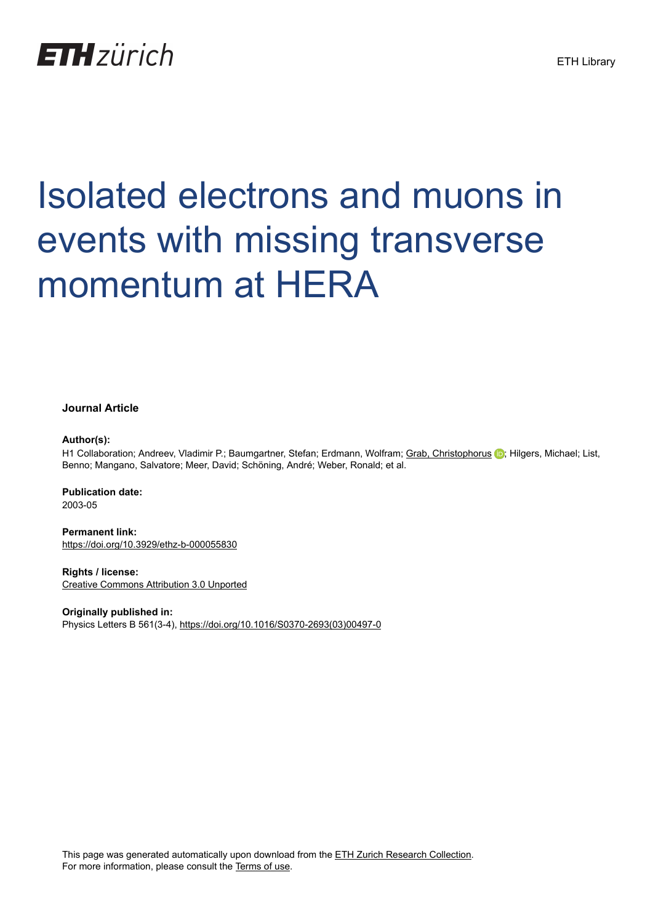## **ETH**zürich

# Isolated electrons and muons in events with missing transverse momentum at HERA

#### **Journal Article**

#### **Author(s):**

H1 Collaboration; Andreev, Vladimir P.; Baumgartner, Stefan; Erdmann, Wolfram; [Grab, Christophorus](https://orcid.org/0000-0002-6182-3380) D; Hilgers, Michael; List, Benno; Mangano, Salvatore; Meer, David; Schöning, André; Weber, Ronald; et al.

**Publication date:** 2003-05

**Permanent link:** <https://doi.org/10.3929/ethz-b-000055830>

**Rights / license:** [Creative Commons Attribution 3.0 Unported](http://creativecommons.org/licenses/by/3.0/)

**Originally published in:** Physics Letters B 561(3-4), [https://doi.org/10.1016/S0370-2693\(03\)00497-0](https://doi.org/10.1016/S0370-2693(03)00497-0)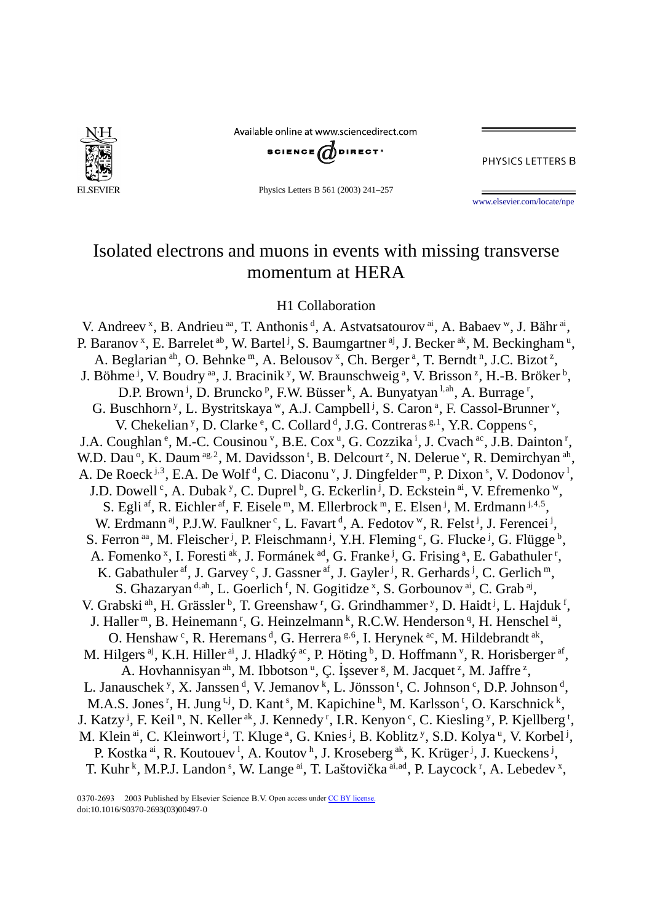

Available online at www.sciencedirect.com



PHYSICS LETTERS B

Physics Letters B 561 (2003) 241–257

[www.elsevier.com/locate/npe](http://www.elsevier.com/locate/npe)

### Isolated electrons and muons in events with missing transverse momentum at HERA

#### H1 Collaboration

V. Andreev<sup>x</sup>, B. Andrieu<sup>aa</sup>, T. Anthonis<sup>d</sup>, A. Astvatsatourov<sup>ai</sup>, A. Babaev<sup>w</sup>, J. Bähr<sup>ai</sup>, P. Baranov<sup>x</sup>, E. Barrelet<sup>ab</sup>, W. Bartel<sup>j</sup>, S. Baumgartner<sup>aj</sup>, J. Becker<sup>ak</sup>, M. Beckingham<sup>u</sup>, A. Beglarian <sup>ah</sup>, O. Behnke <sup>m</sup>, A. Belousov<sup>x</sup>, Ch. Berger<sup>a</sup>, T. Berndt<sup>n</sup>, J.C. Bizot<sup>z</sup>, J. Böhme<sup>j</sup>, V. Boudry<sup>aa</sup>, J. Bracinik<sup>y</sup>, W. Braunschweig<sup>a</sup>, V. Brisson<sup>z</sup>, H.-B. Bröker<sup>b</sup>, D.P. Brown<sup>j</sup>, D. Bruncko<sup>p</sup>, F.W. Büsser<sup>k</sup>, A. Bunyatyan<sup>1,ah</sup>, A. Burrage<sup>r</sup>, G. Buschhorn<sup>y</sup>, L. Bystritskaya<sup>w</sup>, A.J. Campbell<sup>j</sup>, S. Caron<sup>a</sup>, F. Cassol-Brunner<sup>v</sup>, V. Chekelian<sup>y</sup>, D. Clarke<sup>e</sup>, C. Collard<sup>d</sup>, J.G. Contreras<sup>*g*,1</sup>, Y.R. Coppens<sup>c</sup>, J.A. Coughlan<sup>e</sup>, M.-C. Cousinou<sup>v</sup>, B.E. Cox<sup>u</sup>, G. Cozzika<sup>i</sup>, J. Cvach<sup>ac</sup>, J.B. Dainton<sup>r</sup>, W.D. Dau<sup>o</sup>, K. Daum<sup>ag, 2</sup>, M. Davidsson<sup>t</sup>, B. Delcourt<sup>z</sup>, N. Delerue<sup>v</sup>, R. Demirchyan<sup>ah</sup>, A. De Roeck<sup>j,3</sup>, E.A. De Wolf<sup>d</sup>, C. Diaconu<sup>v</sup>, J. Dingfelder<sup>m</sup>, P. Dixon<sup>s</sup>, V. Dodonov<sup>1</sup>, J.D. Dowell<sup>c</sup>, A. Dubak<sup>y</sup>, C. Duprel<sup>b</sup>, G. Eckerlin<sup>j</sup>, D. Eckstein<sup>ai</sup>, V. Efremenko<sup>w</sup>, S. Egli<sup>af</sup>, R. Eichler<sup>af</sup>, F. Eisele<sup>m</sup>, M. Ellerbrock<sup>m</sup>, E. Elsen<sup>j</sup>, M. Erdmann<sup>j,4,5</sup>, W. Erdmann<sup>aj</sup>, P.J.W. Faulkner<sup>c</sup>, L. Favart<sup>d</sup>, A. Fedotov<sup>w</sup>, R. Felst<sup>j</sup>, J. Ferencei<sup>j</sup>, S. Ferron <sup>aa</sup>, M. Fleischer<sup>j</sup>, P. Fleischmann<sup>j</sup>, Y.H. Fleming<sup>c</sup>, G. Flucke<sup>j</sup>, G. Flügge<sup>b</sup>, A. Fomenko<sup>x</sup>, I. Foresti<sup>ak</sup>, J. Formánek<sup>ad</sup>, G. Franke<sup>j</sup>, G. Frising<sup>a</sup>, E. Gabathuler<sup>r</sup>, K. Gabathuler <sup>af</sup>, J. Garvey<sup>c</sup>, J. Gassner <sup>af</sup>, J. Gayler<sup>j</sup>, R. Gerhards<sup>j</sup>, C. Gerlich<sup>m</sup>, S. Ghazaryan <sup>d,ah</sup>, L. Goerlich <sup>f</sup>, N. Gogitidze <sup>x</sup>, S. Gorbounov <sup>ai</sup>, C. Grab <sup>aj</sup>, V. Grabski<sup>ah</sup>, H. Grässler<sup>b</sup>, T. Greenshaw<sup>r</sup>, G. Grindhammer<sup>y</sup>, D. Haidt<sup>j</sup>, L. Hajduk<sup>f</sup>, J. Haller<sup>m</sup>, B. Heinemann<sup>r</sup>, G. Heinzelmann<sup>k</sup>, R.C.W. Henderson<sup>q</sup>, H. Henschel<sup>ai</sup>, O. Henshaw<sup>c</sup>, R. Heremans<sup>d</sup>, G. Herrera<sup>g,6</sup>, I. Herynek<sup>ac</sup>, M. Hildebrandt<sup>ak</sup>, M. Hilgers <sup>aj</sup>, K.H. Hiller <sup>ai</sup>, J. Hladký <sup>ac</sup>, P. Höting <sup>b</sup>, D. Hoffmann <sup>v</sup>, R. Horisberger <sup>af</sup>, A. Hovhannisyan <sup>ah</sup>, M. Ibbotson <sup>u</sup>, Ç. İşsever<sup>g</sup>, M. Jacquet<sup>z</sup>, M. Jaffre<sup>z</sup>, L. Janauschek <sup>y</sup>, X. Janssen <sup>d</sup>, V. Jemanov <sup>k</sup>, L. Jönsson <sup>t</sup>, C. Johnson <sup>c</sup>, D.P. Johnson <sup>d</sup>, M.A.S. Jones<sup>r</sup>, H. Jung<sup>t,j</sup>, D. Kant<sup>s</sup>, M. Kapichine<sup>h</sup>, M. Karlsson<sup>t</sup>, O. Karschnick<sup>k</sup>, J. Katzy<sup>j</sup>, F. Keil<sup>n</sup>, N. Keller<sup>ak</sup>, J. Kennedy<sup>r</sup>, I.R. Kenyon<sup>c</sup>, C. Kiesling<sup>y</sup>, P. Kjellberg<sup>t</sup>, M. Klein<sup>ai</sup>, C. Kleinwort<sup>j</sup>, T. Kluge<sup>a</sup>, G. Knies<sup>j</sup>, B. Koblitz<sup>y</sup>, S.D. Kolya<sup>u</sup>, V. Korbel<sup>j</sup>, P. Kostka<sup>ai</sup>, R. Koutouev<sup>1</sup>, A. Koutov<sup>h</sup>, J. Kroseberg<sup>ak</sup>, K. Krüger<sup>j</sup>, J. Kueckens<sup>j</sup>, T. Kuhr<sup>k</sup>, M.P.J. Landon<sup>s</sup>, W. Lange<sup>ai</sup>, T. Laštovička <sup>ai,ad</sup>, P. Laycock<sup>r</sup>, A. Lebedev<sup>x</sup>,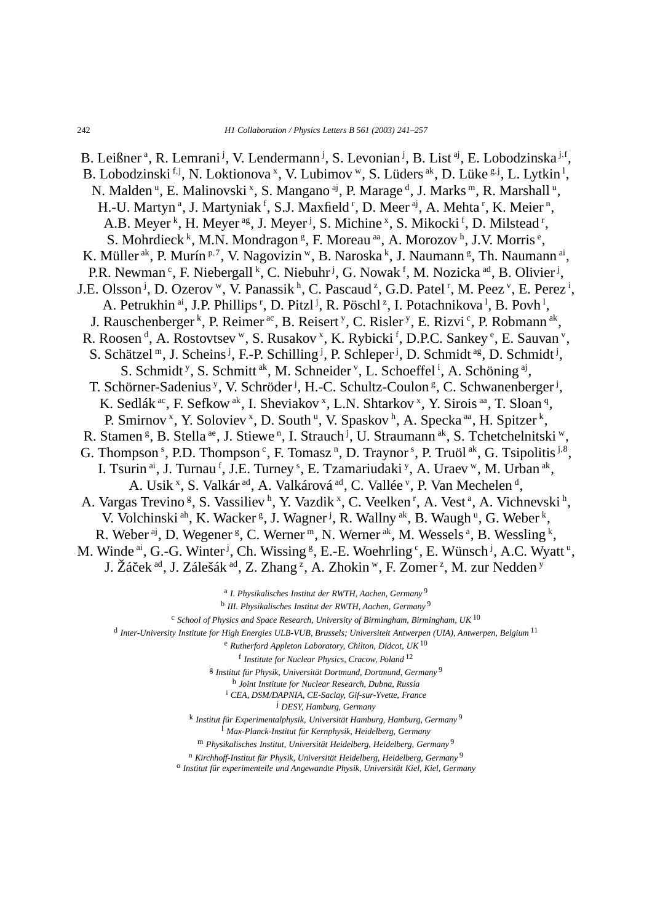B. Leißner<sup>a</sup>, R. Lemrani<sup>j</sup>, V. Lendermann<sup>j</sup>, S. Levonian<sup>j</sup>, B. List<sup>aj</sup>, E. Lobodzinska<sup>j,f</sup>, B. Lobodzinski f.j., N. Loktionova <sup>x</sup>, V. Lubimov <sup>w</sup>, S. Lüders <sup>ak</sup>, D. Lüke <sup>g.j</sup>, L. Lytkin <sup>1</sup>, N. Malden <sup>u</sup>, E. Malinovski <sup>x</sup>, S. Mangano <sup>aj</sup>, P. Marage <sup>d</sup>, J. Marks <sup>m</sup>, R. Marshall <sup>u</sup>, H.-U. Martyn<sup>a</sup>, J. Martyniak<sup>f</sup>, S.J. Maxfield<sup>r</sup>, D. Meer<sup>aj</sup>, A. Mehta<sup>r</sup>, K. Meier<sup>n</sup>, A.B. Meyer<sup>k</sup>, H. Meyer<sup>ag</sup>, J. Meyer<sup>j</sup>, S. Michine<sup>x</sup>, S. Mikocki<sup>f</sup>, D. Milstead<sup>r</sup>, S. Mohrdieck<sup>k</sup>, M.N. Mondragon<sup>g</sup>, F. Moreau<sup>aa</sup>, A. Morozov<sup>h</sup>, J.V. Morris<sup>e</sup>, K. Müller<sup>ak</sup>, P. Murín<sup>p,7</sup>, V. Nagovizin<sup>w</sup>, B. Naroska<sup>k</sup>, J. Naumann<sup>g</sup>, Th. Naumann<sup>ai</sup>, P.R. Newman<sup>c</sup>, F. Niebergall<sup>k</sup>, C. Niebuhr<sup>j</sup>, G. Nowak<sup>f</sup>, M. Nozicka<sup>ad</sup>, B. Olivier<sup>j</sup>, J.E. Olsson<sup>j</sup>, D. Ozerov <sup>w</sup>, V. Panassik <sup>h</sup>, C. Pascaud <sup>z</sup>, G.D. Patel <sup>r</sup>, M. Peez <sup>v</sup>, E. Perez <sup>i</sup>, A. Petrukhin <sup>ai</sup>, J.P. Phillips<sup>r</sup>, D. Pitzl<sup>j</sup>, R. Pöschl<sup>z</sup>, I. Potachnikova<sup>1</sup>, B. Povh<sup>1</sup>, J. Rauschenberger<sup>k</sup>, P. Reimer<sup>ac</sup>, B. Reisert<sup>y</sup>, C. Risler<sup>y</sup>, E. Rizvi<sup>c</sup>, P. Robmann<sup>ak</sup>, R. Roosen<sup>d</sup>, A. Rostovtsev <sup>w</sup>, S. Rusakov <sup>x</sup>, K. Rybicki<sup>f</sup>, D.P.C. Sankey <sup>e</sup>, E. Sauvan <sup>v</sup>, S. Schätzel <sup>m</sup>, J. Scheins<sup>j</sup>, F.-P. Schilling<sup>j</sup>, P. Schleper<sup>j</sup>, D. Schmidt<sup>ag</sup>, D. Schmidt<sup>j</sup>, S. Schmidt<sup>y</sup>, S. Schmitt<sup>ak</sup>, M. Schneider<sup>v</sup>, L. Schoeffel<sup>i</sup>, A. Schöning<sup>aj</sup>, T. Schörner-Sadenius<sup>y</sup>, V. Schröder<sup>j</sup>, H.-C. Schultz-Coulon<sup>g</sup>, C. Schwanenberger<sup>j</sup>, K. Sedlák<sup>ac</sup>, F. Sefkow<sup>ak</sup>, I. Sheviakov<sup>x</sup>, L.N. Shtarkov<sup>x</sup>, Y. Sirois<sup>aa</sup>, T. Sloan<sup>q</sup>, P. Smirnov<sup>x</sup>, Y. Soloviev<sup>x</sup>, D. South<sup>u</sup>, V. Spaskov<sup>h</sup>, A. Specka<sup>aa</sup>, H. Spitzer<sup>k</sup>, R. Stamen<sup>g</sup>, B. Stella<sup>ae</sup>, J. Stiewe<sup>n</sup>, I. Strauch<sup>j</sup>, U. Straumann<sup>ak</sup>, S. Tchetchelnitski<sup>w</sup>, G. Thompson<sup>s</sup>, P.D. Thompson<sup>c</sup>, F. Tomasz<sup>n</sup>, D. Traynor<sup>s</sup>, P. Truöl<sup>ak</sup>, G. Tsipolitis<sup>j,8</sup>, I. Tsurin <sup>ai</sup>, J. Turnau<sup>f</sup>, J.E. Turney<sup>s</sup>, E. Tzamariudaki<sup>y</sup>, A. Uraev<sup>w</sup>, M. Urban<sup>ak</sup>, A. Usik<sup>x</sup>, S. Valkár<sup>ad</sup>, A. Valkárová<sup>ad</sup>, C. Vallée<sup>v</sup>, P. Van Mechelen<sup>d</sup>, A. Vargas Trevino<sup>g</sup>, S. Vassiliev<sup>h</sup>, Y. Vazdik<sup>x</sup>, C. Veelken<sup>r</sup>, A. Vest<sup>a</sup>, A. Vichnevski<sup>h</sup>, V. Volchinski <sup>ah</sup>, K. Wacker<sup>g</sup>, J. Wagner<sup>j</sup>, R. Wallny <sup>ak</sup>, B. Waugh <sup>u</sup>, G. Weber<sup>k</sup>, R. Weber<sup>aj</sup>, D. Wegener<sup>g</sup>, C. Werner<sup>m</sup>, N. Werner<sup>ak</sup>, M. Wessels<sup>a</sup>, B. Wessling<sup>k</sup>, M. Winde <sup>ai</sup>, G.-G. Winter<sup>j</sup>, Ch. Wissing <sup>g</sup>, E.-E. Woehrling <sup>c</sup>, E. Wünsch<sup>j</sup>, A.C. Wyatt <sup>u</sup>, J. Žáček  $^{\text{ad}}$ , J. Zálešák  $^{\text{ad}}$ , Z. Zhang <sup>z</sup>, A. Zhokin ʷ, F. Zomer <sup>z</sup>, M. zur Nedden <sup>y</sup>

<sup>a</sup> *I. Physikalisches Institut der RWTH, Aachen, Germany* <sup>9</sup>

<sup>b</sup> *III. Physikalisches Institut der RWTH, Aachen, Germany* <sup>9</sup>

<sup>c</sup> *School of Physics and Space Research, University of Birmingham, Birmingham, UK* <sup>10</sup>

<sup>d</sup> *Inter-University Institute for High Energies ULB-VUB, Brussels; Universiteit Antwerpen (UIA), Antwerpen, Belgium* <sup>11</sup>

<sup>e</sup> *Rutherford Appleton Laboratory, Chilton, Didcot, UK*<sup>10</sup>

<sup>f</sup> *Institute for Nuclear Physics, Cracow, Poland* <sup>12</sup>

<sup>g</sup> *Institut für Physik, Universität Dortmund, Dortmund, Germany* <sup>9</sup>

<sup>h</sup> *Joint Institute for Nuclear Research, Dubna, Russia*

<sup>i</sup> *CEA, DSM/DAPNIA, CE-Saclay, Gif-sur-Yvette, France*

<sup>j</sup> *DESY, Hamburg, Germany*

<sup>k</sup> *Institut für Experimentalphysik, Universität Hamburg, Hamburg, Germany* <sup>9</sup> <sup>l</sup> *Max-Planck-Institut für Kernphysik, Heidelberg, Germany*

<sup>m</sup> *Physikalisches Institut, Universität Heidelberg, Heidelberg, Germany* <sup>9</sup>

<sup>n</sup> *Kirchhoff-Institut für Physik, Universität Heidelberg, Heidelberg, Germany* <sup>9</sup>

<sup>o</sup> *Institut für experimentelle und Angewandte Physik, Universität Kiel, Kiel, Germany*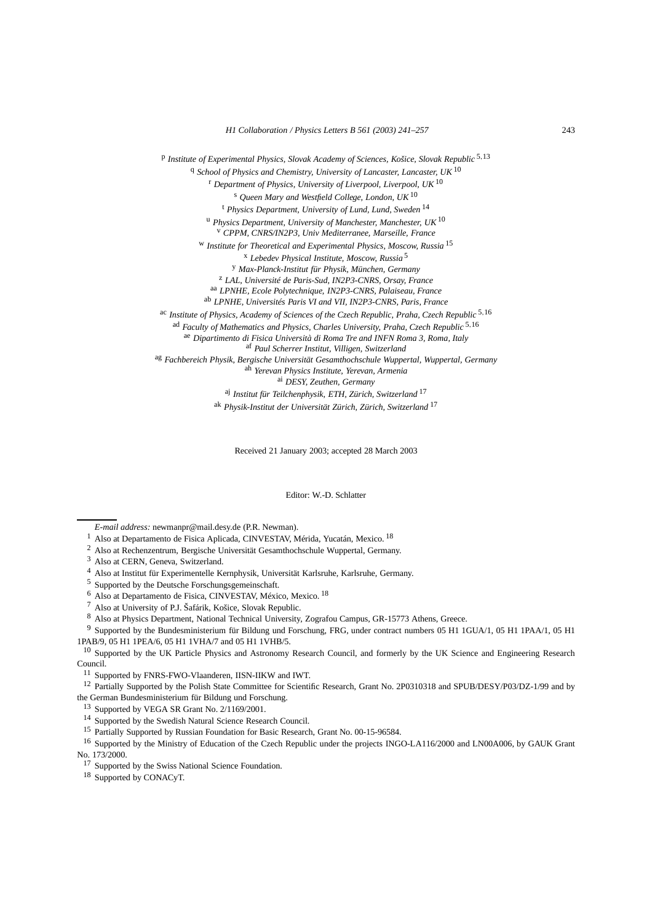<sup>p</sup> *Institute of Experimental Physics, Slovak Academy of Sciences, Košice, Slovak Republic* <sup>5</sup>*,*<sup>13</sup>

<sup>q</sup> *School of Physics and Chemistry, University of Lancaster, Lancaster, UK* <sup>10</sup>

<sup>r</sup> *Department of Physics, University of Liverpool, Liverpool, UK* <sup>10</sup>

<sup>s</sup> *Queen Mary and Westfield College, London, UK*<sup>10</sup>

<sup>t</sup> *Physics Department, University of Lund, Lund, Sweden* <sup>14</sup>

<sup>u</sup> *Physics Department, University of Manchester, Manchester, UK*<sup>10</sup> <sup>v</sup> *CPPM, CNRS/IN2P3, Univ Mediterranee, Marseille, France*

<sup>w</sup> *Institute for Theoretical and Experimental Physics, Moscow, Russia* <sup>15</sup>

<sup>x</sup> *Lebedev Physical Institute, Moscow, Russia* <sup>5</sup>

<sup>y</sup> *Max-Planck-Institut für Physik, München, Germany*

<sup>z</sup> *LAL, Université de Paris-Sud, IN2P3-CNRS, Orsay, France*

aa *LPNHE, Ecole Polytechnique, IN2P3-CNRS, Palaiseau, France*

ab *LPNHE, Universités Paris VI and VII, IN2P3-CNRS, Paris, France*

ac *Institute of Physics, Academy of Sciences of the Czech Republic, Praha, Czech Republic* <sup>5</sup>*,*<sup>16</sup>

ad *Faculty of Mathematics and Physics, Charles University, Praha, Czech Republic* <sup>5</sup>*,*<sup>16</sup>

ae *Dipartimento di Fisica Università di Roma Tre and INFN Roma 3, Roma, Italy*

af *Paul Scherrer Institut, Villigen, Switzerland*

ag *Fachbereich Physik, Bergische Universität Gesamthochschule Wuppertal, Wuppertal, Germany*

ah *Yerevan Physics Institute, Yerevan, Armenia*

ai *DESY, Zeuthen, Germany*

aj *Institut für Teilchenphysik, ETH, Zürich, Switzerland* <sup>17</sup>

ak *Physik-Institut der Universität Zürich, Zürich, Switzerland* <sup>17</sup>

Received 21 January 2003; accepted 28 March 2003

Editor: W.-D. Schlatter

- <sup>1</sup> Also at Departamento de Fisica Aplicada, CINVESTAV, Mérida, Yucatán, Mexico.<sup>18</sup>
- <sup>2</sup> Also at Rechenzentrum, Bergische Universität Gesamthochschule Wuppertal, Germany.
- <sup>3</sup> Also at CERN, Geneva, Switzerland.
- <sup>4</sup> Also at Institut für Experimentelle Kernphysik, Universität Karlsruhe, Karlsruhe, Germany.
- <sup>5</sup> Supported by the Deutsche Forschungsgemeinschaft.
- <sup>6</sup> Also at Departamento de Fisica, CINVESTAV, México, Mexico. <sup>18</sup>
- <sup>7</sup> Also at University of P.J. Šafárik, Košice, Slovak Republic.
- <sup>8</sup> Also at Physics Department, National Technical University, Zografou Campus, GR-15773 Athens, Greece.

<sup>9</sup> Supported by the Bundesministerium für Bildung und Forschung, FRG, under contract numbers 05 H1 1GUA/1, 05 H1 1PAA/1, 05 H1 1PAB/9, 05 H1 1PEA/6, 05 H1 1VHA/7 and 05 H1 1VHB/5.

<sup>10</sup> Supported by the UK Particle Physics and Astronomy Research Council, and formerly by the UK Science and Engineering Research Council.

<sup>11</sup> Supported by FNRS-FWO-Vlaanderen, IISN-IIKW and IWT.

<sup>12</sup> Partially Supported by the Polish State Committee for Scientific Research, Grant No. 2P0310318 and SPUB/DESY/P03/DZ-1/99 and by the German Bundesministerium für Bildung und Forschung.

<sup>13</sup> Supported by VEGA SR Grant No. 2/1169/2001.

<sup>15</sup> Partially Supported by Russian Foundation for Basic Research, Grant No. 00-15-96584.

<sup>16</sup> Supported by the Ministry of Education of the Czech Republic under the projects INGO-LA116/2000 and LN00A006, by GAUK Grant No. 173/2000.

<sup>18</sup> Supported by CONACyT.

*E-mail address:* newmanpr@mail.desy.de (P.R. Newman).

<sup>&</sup>lt;sup>14</sup> Supported by the Swedish Natural Science Research Council.

<sup>&</sup>lt;sup>17</sup> Supported by the Swiss National Science Foundation.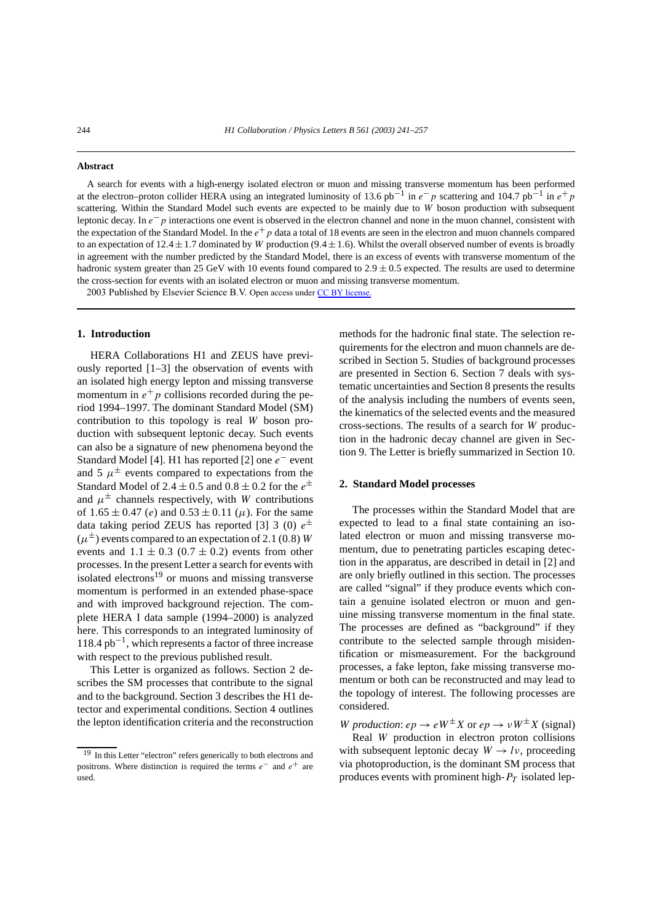#### **Abstract**

A search for events with a high-energy isolated electron or muon and missing transverse momentum has been performed at the electron–proton collider HERA using an integrated luminosity of 13.6 pb<sup>-1</sup> in  $e^-p$  scattering and 104.7 pb<sup>-1</sup> in  $e^+p$ scattering. Within the Standard Model such events are expected to be mainly due to *W* boson production with subsequent leptonic decay. In *e*−*p* interactions one event is observed in the electron channel and none in the muon channel, consistent with the expectation of the Standard Model. In the  $e^+p$  data a total of 18 events are seen in the electron and muon channels compared to an expectation of  $12.4 \pm 1.7$  dominated by *W* production  $(9.4 \pm 1.6)$ . Whilst the overall observed number of events is broadly in agreement with the number predicted by the Standard Model, there is an excess of events with transverse momentum of the hadronic system greater than 25 GeV with 10 events found compared to 2.9  $\pm$  0.5 expected. The results are used to determine the cross-section for events with an isolated electron or muon and missing transverse momentum.  $© 2003$  Published by Elsevier Science B.V. Open access under CC BY [license.](http://creativecommons.org/licenses/by/3.0/)

#### **1. Introduction**

HERA Collaborations H1 and ZEUS have previously reported [1–3] the observation of events with an isolated high energy lepton and missing transverse momentum in  $e^+p$  collisions recorded during the period 1994–1997. The dominant Standard Model (SM) contribution to this topology is real *W* boson production with subsequent leptonic decay. Such events can also be a signature of new phenomena beyond the Standard Model [4]. H1 has reported [2] one *e*− event and 5  $\mu^{\pm}$  events compared to expectations from the Standard Model of 2.4  $\pm$  0.5 and 0.8  $\pm$  0.2 for the  $e^{\pm}$ and  $\mu^{\pm}$  channels respectively, with *W* contributions of  $1.65 \pm 0.47$  (*e*) and  $0.53 \pm 0.11$  ( $\mu$ ). For the same data taking period ZEUS has reported [3] 3 (0) *e*±  $(\mu^{\pm})$  events compared to an expectation of 2.1 (0.8) *W* events and  $1.1 \pm 0.3$  (0.7  $\pm$  0.2) events from other processes. In the present Letter a search for events with isolated electrons<sup>19</sup> or muons and missing transverse momentum is performed in an extended phase-space and with improved background rejection. The complete HERA I data sample (1994–2000) is analyzed here. This corresponds to an integrated luminosity of  $118.4$  pb<sup>-1</sup>, which represents a factor of three increase with respect to the previous published result.

This Letter is organized as follows. Section 2 describes the SM processes that contribute to the signal and to the background. Section 3 describes the H1 detector and experimental conditions. Section 4 outlines the lepton identification criteria and the reconstruction methods for the hadronic final state. The selection requirements for the electron and muon channels are described in Section 5. Studies of background processes are presented in Section 6. Section 7 deals with systematic uncertainties and Section 8 presents the results of the analysis including the numbers of events seen, the kinematics of the selected events and the measured cross-sections. The results of a search for *W* production in the hadronic decay channel are given in Section 9. The Letter is briefly summarized in Section 10.

#### **2. Standard Model processes**

The processes within the Standard Model that are expected to lead to a final state containing an isolated electron or muon and missing transverse momentum, due to penetrating particles escaping detection in the apparatus, are described in detail in [2] and are only briefly outlined in this section. The processes are called "signal" if they produce events which contain a genuine isolated electron or muon and genuine missing transverse momentum in the final state. The processes are defined as "background" if they contribute to the selected sample through misidentification or mismeasurement. For the background processes, a fake lepton, fake missing transverse momentum or both can be reconstructed and may lead to the topology of interest. The following processes are considered.

*W production*:  $ep \rightarrow eW^{\pm}X$  or  $ep \rightarrow vW^{\pm}X$  (signal)

Real *W* production in electron proton collisions with subsequent leptonic decay  $W \rightarrow l\nu$ , proceeding via photoproduction, is the dominant SM process that produces events with prominent high- $P_T$  isolated lep-

<sup>&</sup>lt;sup>19</sup> In this Letter "electron" refers generically to both electrons and positrons. Where distinction is required the terms *e*− and *e*+ are used.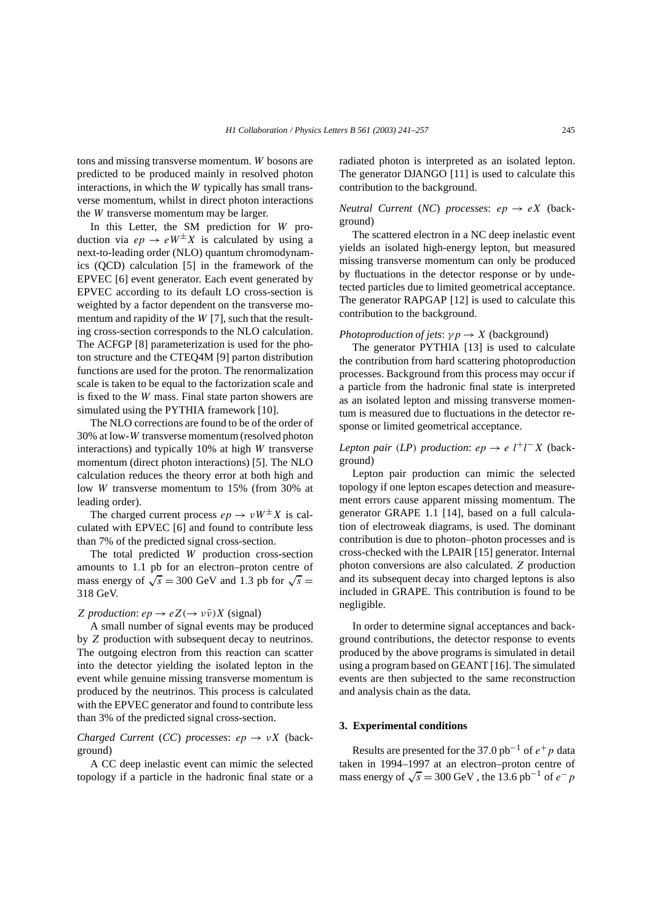tons and missing transverse momentum. *W* bosons are predicted to be produced mainly in resolved photon interactions, in which the *W* typically has small transverse momentum, whilst in direct photon interactions the *W* transverse momentum may be larger.

In this Letter, the SM prediction for *W* production via  $ep \rightarrow eW^{\pm}X$  is calculated by using a next-to-leading order (NLO) quantum chromodynamics (QCD) calculation [5] in the framework of the EPVEC [6] event generator. Each event generated by EPVEC according to its default LO cross-section is weighted by a factor dependent on the transverse momentum and rapidity of the *W* [7], such that the resulting cross-section corresponds to the NLO calculation. The ACFGP [8] parameterization is used for the photon structure and the CTEQ4M [9] parton distribution functions are used for the proton. The renormalization scale is taken to be equal to the factorization scale and is fixed to the *W* mass. Final state parton showers are simulated using the PYTHIA framework [10].

The NLO corrections are found to be of the order of 30% at low-*W* transverse momentum (resolved photon interactions) and typically 10% at high *W* transverse momentum (direct photon interactions) [5]. The NLO calculation reduces the theory error at both high and low *W* transverse momentum to 15% (from 30% at leading order).

The charged current process  $ep \rightarrow \nu W^{\pm} X$  is calculated with EPVEC [6] and found to contribute less than 7% of the predicted signal cross-section.

The total predicted *W* production cross-section amounts to 1*.*1 pb for an electron–proton centre of mass energy of  $\sqrt{s}$  = 300 GeV and 1.3 pb for  $\sqrt{s}$  = 318 GeV.

#### *Z production*:  $ep \rightarrow eZ(\rightarrow \nu\bar{\nu})X$  (signal)

A small number of signal events may be produced by *Z* production with subsequent decay to neutrinos. The outgoing electron from this reaction can scatter into the detector yielding the isolated lepton in the event while genuine missing transverse momentum is produced by the neutrinos. This process is calculated with the EPVEC generator and found to contribute less than 3% of the predicted signal cross-section.

*Charged Current* (*CC*) *processes:*  $ep \rightarrow \nu X$  (background)

A CC deep inelastic event can mimic the selected topology if a particle in the hadronic final state or a radiated photon is interpreted as an isolated lepton. The generator DJANGO [11] is used to calculate this contribution to the background.

#### *Neutral Current* (*NC*) *processes*:  $ep \rightarrow eX$  (background)

The scattered electron in a NC deep inelastic event yields an isolated high-energy lepton, but measured missing transverse momentum can only be produced by fluctuations in the detector response or by undetected particles due to limited geometrical acceptance. The generator RAPGAP [12] is used to calculate this contribution to the background.

#### *Photoproduction of jets:*  $\gamma p \rightarrow X$  *(background)*

The generator PYTHIA [13] is used to calculate the contribution from hard scattering photoproduction processes. Background from this process may occur if a particle from the hadronic final state is interpreted as an isolated lepton and missing transverse momentum is measured due to fluctuations in the detector response or limited geometrical acceptance.

#### *Lepton pair (LP) production*:  $ep \rightarrow e l^+l^-X$  (background)

Lepton pair production can mimic the selected topology if one lepton escapes detection and measurement errors cause apparent missing momentum. The generator GRAPE 1.1 [14], based on a full calculation of electroweak diagrams, is used. The dominant contribution is due to photon–photon processes and is cross-checked with the LPAIR [15] generator. Internal photon conversions are also calculated. *Z* production and its subsequent decay into charged leptons is also included in GRAPE. This contribution is found to be negligible.

In order to determine signal acceptances and background contributions, the detector response to events produced by the above programs is simulated in detail using a program based on GEANT [16]. The simulated events are then subjected to the same reconstruction and analysis chain as the data.

#### **3. Experimental conditions**

Results are presented for the 37.0 pb<sup>-1</sup> of  $e^+p$  data taken in 1994–1997 at an electron–proton centre of mass energy of  $\sqrt{s}$  = 300 GeV, the 13.6 pb<sup>-1</sup> of  $e^-p$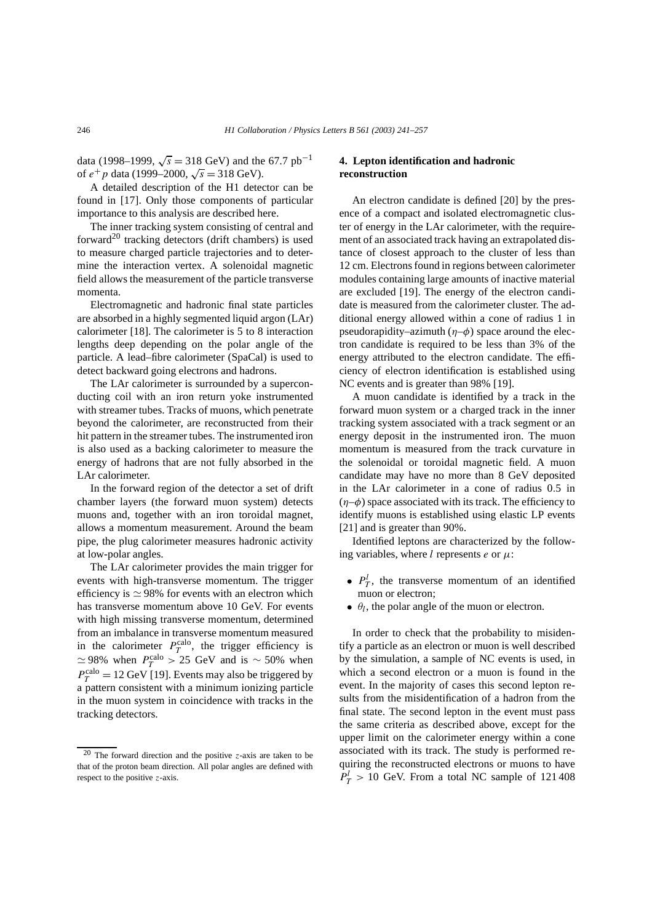data (1998–1999,  $\sqrt{s}$  = 318 GeV) and the 67.7 pb<sup>-1</sup> of  $e^+p$  data (1999–2000,  $\sqrt{s} = 318$  GeV).

A detailed description of the H1 detector can be found in [17]. Only those components of particular importance to this analysis are described here.

The inner tracking system consisting of central and forward<sup>20</sup> tracking detectors (drift chambers) is used to measure charged particle trajectories and to determine the interaction vertex. A solenoidal magnetic field allows the measurement of the particle transverse momenta.

Electromagnetic and hadronic final state particles are absorbed in a highly segmented liquid argon (LAr) calorimeter [18]. The calorimeter is 5 to 8 interaction lengths deep depending on the polar angle of the particle. A lead–fibre calorimeter (SpaCal) is used to detect backward going electrons and hadrons.

The LAr calorimeter is surrounded by a superconducting coil with an iron return yoke instrumented with streamer tubes. Tracks of muons, which penetrate beyond the calorimeter, are reconstructed from their hit pattern in the streamer tubes. The instrumented iron is also used as a backing calorimeter to measure the energy of hadrons that are not fully absorbed in the LAr calorimeter.

In the forward region of the detector a set of drift chamber layers (the forward muon system) detects muons and, together with an iron toroidal magnet, allows a momentum measurement. Around the beam pipe, the plug calorimeter measures hadronic activity at low-polar angles.

The LAr calorimeter provides the main trigger for events with high-transverse momentum. The trigger efficiency is  $\simeq$  98% for events with an electron which has transverse momentum above 10 GeV. For events with high missing transverse momentum, determined from an imbalance in transverse momentum measured in the calorimeter  $P_T^{\text{calo}}$ , the trigger efficiency is  $\simeq$  98% when  $P_T^{\text{calo}} > 25 \text{ GeV}$  and is ∼ 50% when  $P_T^{\text{calo}} = 12 \text{ GeV}$  [19]. Events may also be triggered by a pattern consistent with a minimum ionizing particle in the muon system in coincidence with tracks in the tracking detectors.

#### **4. Lepton identification and hadronic reconstruction**

An electron candidate is defined [20] by the presence of a compact and isolated electromagnetic cluster of energy in the LAr calorimeter, with the requirement of an associated track having an extrapolated distance of closest approach to the cluster of less than 12 cm. Electrons found in regions between calorimeter modules containing large amounts of inactive material are excluded [19]. The energy of the electron candidate is measured from the calorimeter cluster. The additional energy allowed within a cone of radius 1 in pseudorapidity–azimuth  $(\eta - \phi)$  space around the electron candidate is required to be less than 3% of the energy attributed to the electron candidate. The efficiency of electron identification is established using NC events and is greater than 98% [19].

A muon candidate is identified by a track in the forward muon system or a charged track in the inner tracking system associated with a track segment or an energy deposit in the instrumented iron. The muon momentum is measured from the track curvature in the solenoidal or toroidal magnetic field. A muon candidate may have no more than 8 GeV deposited in the LAr calorimeter in a cone of radius 0*.*5 in  $(\eta-\phi)$  space associated with its track. The efficiency to identify muons is established using elastic LP events [21] and is greater than 90%.

Identified leptons are characterized by the following variables, where  $l$  represents  $e$  or  $\mu$ :

- $P_T^l$ , the transverse momentum of an identified muon or electron;
- $\bullet$   $\theta_l$ , the polar angle of the muon or electron.

In order to check that the probability to misidentify a particle as an electron or muon is well described by the simulation, a sample of NC events is used, in which a second electron or a muon is found in the event. In the majority of cases this second lepton results from the misidentification of a hadron from the final state. The second lepton in the event must pass the same criteria as described above, except for the upper limit on the calorimeter energy within a cone associated with its track. The study is performed requiring the reconstructed electrons or muons to have  $P_T^l$  > 10 GeV. From a total NC sample of 121 408

<sup>20</sup> The forward direction and the positive *z*-axis are taken to be that of the proton beam direction. All polar angles are defined with respect to the positive *z*-axis.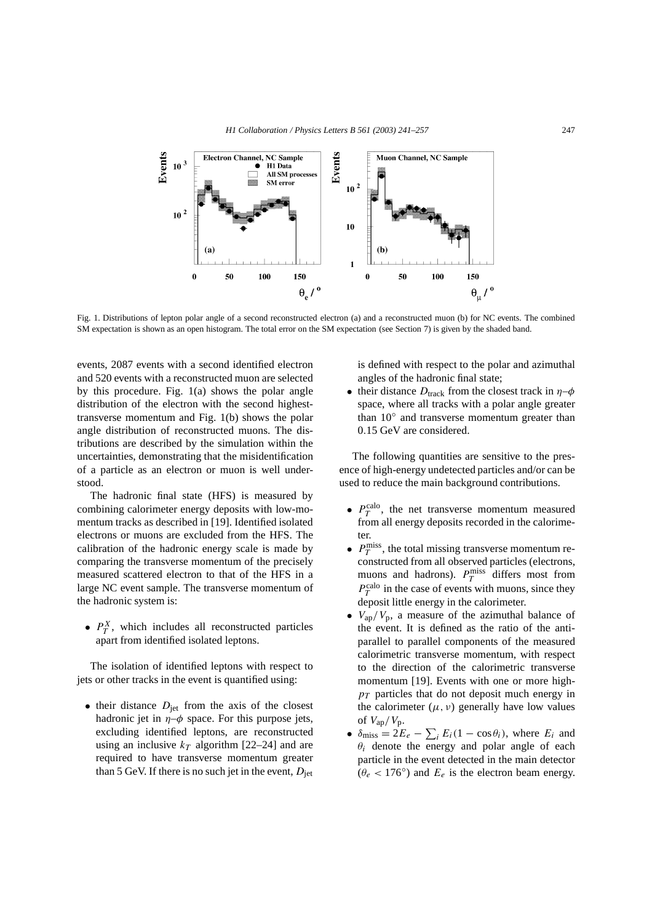

Fig. 1. Distributions of lepton polar angle of a second reconstructed electron (a) and a reconstructed muon (b) for NC events. The combined SM expectation is shown as an open histogram. The total error on the SM expectation (see Section 7) is given by the shaded band.

events, 2087 events with a second identified electron and 520 events with a reconstructed muon are selected by this procedure. Fig. 1(a) shows the polar angle distribution of the electron with the second highesttransverse momentum and Fig. 1(b) shows the polar angle distribution of reconstructed muons. The distributions are described by the simulation within the uncertainties, demonstrating that the misidentification of a particle as an electron or muon is well understood.

The hadronic final state (HFS) is measured by combining calorimeter energy deposits with low-momentum tracks as described in [19]. Identified isolated electrons or muons are excluded from the HFS. The calibration of the hadronic energy scale is made by comparing the transverse momentum of the precisely measured scattered electron to that of the HFS in a large NC event sample. The transverse momentum of the hadronic system is:

•  $P_T^X$ , which includes all reconstructed particles apart from identified isolated leptons.

The isolation of identified leptons with respect to jets or other tracks in the event is quantified using:

• their distance  $D_{jet}$  from the axis of the closest hadronic jet in  $\eta-\phi$  space. For this purpose jets, excluding identified leptons, are reconstructed using an inclusive  $k_T$  algorithm [22–24] and are required to have transverse momentum greater than 5 GeV. If there is no such jet in the event,  $D_{\text{jet}}$  is defined with respect to the polar and azimuthal angles of the hadronic final state;

• their distance  $D_{\text{track}}$  from the closest track in  $\eta - \phi$ space, where all tracks with a polar angle greater than 10◦ and transverse momentum greater than 0*.*15 GeV are considered.

The following quantities are sensitive to the presence of high-energy undetected particles and/or can be used to reduce the main background contributions.

- $P_T^{\text{calo}}$ , the net transverse momentum measured from all energy deposits recorded in the calorimeter.
- $P_T^{\text{miss}}$ , the total missing transverse momentum reconstructed from all observed particles (electrons, muons and hadrons).  $P_T^{\text{miss}}$  differs most from  $P_T^{\text{calo}}$  in the case of events with muons, since they deposit little energy in the calorimeter.
- $V_{ap}/V_p$ , a measure of the azimuthal balance of the event. It is defined as the ratio of the antiparallel to parallel components of the measured calorimetric transverse momentum, with respect to the direction of the calorimetric transverse momentum [19]. Events with one or more high*pT* particles that do not deposit much energy in the calorimeter  $(\mu, \nu)$  generally have low values of  $V_{\rm ap}/V_{\rm p}$ .
- $\delta_{\text{miss}} = 2E_e \sum_i E_i (1 \cos \theta_i)$ , where  $E_i$  and *θi* denote the energy and polar angle of each particle in the event detected in the main detector  $(\theta_e < 176^\circ)$  and  $E_e$  is the electron beam energy.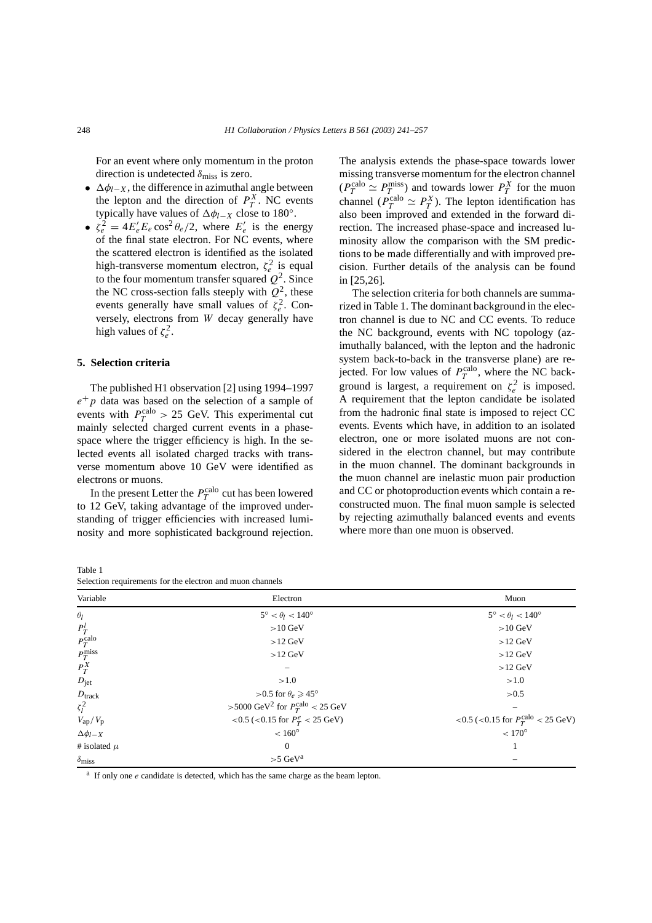For an event where only momentum in the proton direction is undetected *δ*miss is zero.

- $\Delta \phi_{l-X}$ , the difference in azimuthal angle between the lepton and the direction of  $P_T^X$ . NC events typically have values of  $\Delta \phi_{l-X}$  close to 180°.
- $\zeta_e^2 = 4E'_eE_e\cos^2\theta_e/2$ , where  $E'_e$  is the energy of the final state electron. For NC events, where the scattered electron is identified as the isolated high-transverse momentum electron,  $\zeta_e^2$  is equal to the four momentum transfer squared  $Q^2$ . Since the NC cross-section falls steeply with  $Q^2$ , these events generally have small values of  $\zeta_e^2$ . Conversely, electrons from *W* decay generally have high values of  $\zeta_e^2$ .

#### **5. Selection criteria**

The published H1 observation [2] using 1994–1997  $e^+p$  data was based on the selection of a sample of events with  $P_T^{\text{calo}} > 25$  GeV. This experimental cut mainly selected charged current events in a phasespace where the trigger efficiency is high. In the selected events all isolated charged tracks with transverse momentum above 10 GeV were identified as electrons or muons.

In the present Letter the  $P_T^{\text{calo}}$  cut has been lowered to 12 GeV, taking advantage of the improved understanding of trigger efficiencies with increased luminosity and more sophisticated background rejection.

The analysis extends the phase-space towards lower missing transverse momentum for the electron channel  $(P_T^{\text{calo}} \simeq P_T^{\text{miss}})$  and towards lower  $P_T^X$  for the muon channel ( $P_T^{\text{calo}} \simeq P_T^X$ ). The lepton identification has also been improved and extended in the forward direction. The increased phase-space and increased luminosity allow the comparison with the SM predictions to be made differentially and with improved precision. Further details of the analysis can be found in [25,26].

The selection criteria for both channels are summarized in Table 1. The dominant background in the electron channel is due to NC and CC events. To reduce the NC background, events with NC topology (azimuthally balanced, with the lepton and the hadronic system back-to-back in the transverse plane) are rejected. For low values of  $P_T^{\text{calo}}$ , where the NC background is largest, a requirement on  $\zeta_e^2$  is imposed. A requirement that the lepton candidate be isolated from the hadronic final state is imposed to reject CC events. Events which have, in addition to an isolated electron, one or more isolated muons are not considered in the electron channel, but may contribute in the muon channel. The dominant backgrounds in the muon channel are inelastic muon pair production and CC or photoproduction events which contain a reconstructed muon. The final muon sample is selected by rejecting azimuthally balanced events and events where more than one muon is observed.

Table 1 Selection requirements for the electron and muon channels

| Selection requirements for the electron and muon channels |                                                         |                                                                         |  |  |  |
|-----------------------------------------------------------|---------------------------------------------------------|-------------------------------------------------------------------------|--|--|--|
| Variable                                                  | Electron                                                | Muon                                                                    |  |  |  |
| $\theta_l$                                                | $5^{\circ} < \theta_l < 140^{\circ}$                    | $5^\circ < \theta_l < 140^\circ$                                        |  |  |  |
| $P_T^l$                                                   | $>10$ GeV                                               | $>10$ GeV                                                               |  |  |  |
| $P_T^{\text{calo}}$                                       | $>12$ GeV                                               | $>12$ GeV                                                               |  |  |  |
| $P_T^{\text{miss}}$                                       | $>12$ GeV                                               | $>12$ GeV                                                               |  |  |  |
| $P_T^X$                                                   |                                                         | $>12$ GeV                                                               |  |  |  |
| $D_{\rm jet}$                                             | >1.0                                                    | >1.0                                                                    |  |  |  |
| $D_{\text{track}}$                                        | $>0.5$ for $\theta_e \ge 45^\circ$                      | > 0.5                                                                   |  |  |  |
| $\zeta_l^2$                                               | >5000 GeV <sup>2</sup> for $P_T^{\text{calo}} < 25$ GeV |                                                                         |  |  |  |
| $V_{\rm ap}/V_{\rm p}$                                    | <0.5 (<0.15 for $P_T^e < 25$ GeV)                       | ${<}0.5\;({<}0.15\;\mathrm{for}\;P_T^{\mathrm{calo}}<25\;\mathrm{GeV})$ |  |  |  |
| $\Delta \phi_{l-X}$                                       | $< 160^{\circ}$                                         | $< 170^{\circ}$                                                         |  |  |  |
| # isolated $\mu$                                          | $\mathbf{0}$                                            |                                                                         |  |  |  |
| $\delta_{\rm miss}$                                       | $>$ 5 GeV <sup>a</sup>                                  |                                                                         |  |  |  |

<sup>a</sup> If only one *e* candidate is detected, which has the same charge as the beam lepton.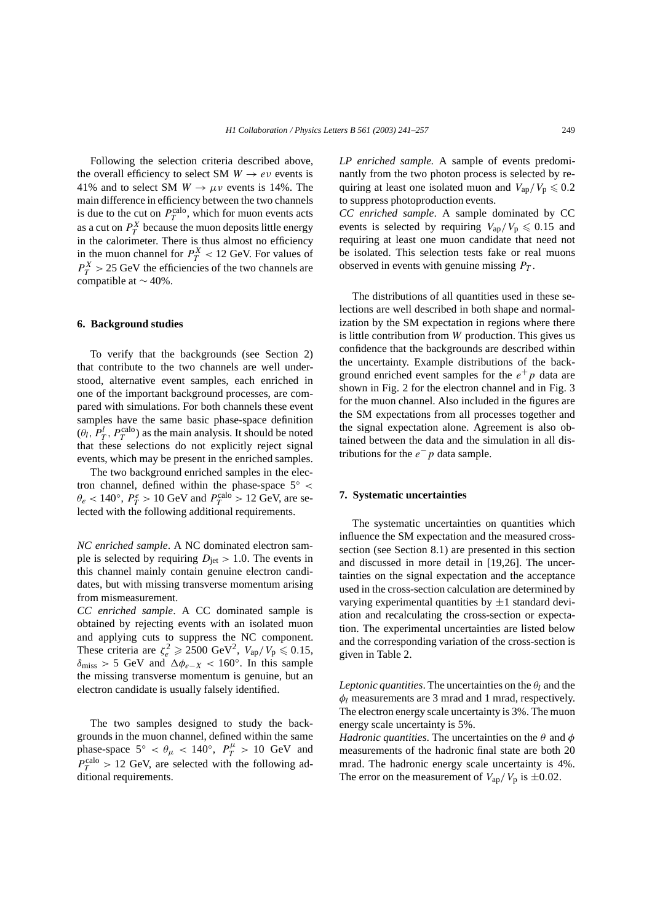Following the selection criteria described above, the overall efficiency to select SM  $W \rightarrow e \nu$  events is 41% and to select SM  $W \rightarrow \mu \nu$  events is 14%. The main difference in efficiency between the two channels is due to the cut on  $P_T^{\text{calo}}$ , which for muon events acts as a cut on  $P_T^X$  because the muon deposits little energy in the calorimeter. There is thus almost no efficiency in the muon channel for  $P_T^X < 12$  GeV. For values of  $P_T^X > 25$  GeV the efficiencies of the two channels are compatible at ∼ 40%.

#### **6. Background studies**

To verify that the backgrounds (see Section 2) that contribute to the two channels are well understood, alternative event samples, each enriched in one of the important background processes, are compared with simulations. For both channels these event samples have the same basic phase-space definition  $(\theta_l, P_T^l, P_T^{\text{calo}})$  as the main analysis. It should be noted that these selections do not explicitly reject signal events, which may be present in the enriched samples.

The two background enriched samples in the electron channel, defined within the phase-space 5◦ *<*  $\theta_e$  < 140°,  $P_T^e > 10$  GeV and  $P_T^{\text{calo}} > 12$  GeV, are selected with the following additional requirements.

*NC enriched sample*. A NC dominated electron sample is selected by requiring  $D_{jet} > 1.0$ . The events in this channel mainly contain genuine electron candidates, but with missing transverse momentum arising from mismeasurement.

*CC enriched sample*. A CC dominated sample is obtained by rejecting events with an isolated muon and applying cuts to suppress the NC component. These criteria are  $\zeta_e^2 \ge 2500 \text{ GeV}^2$ ,  $V_{\text{ap}}/V_{\text{p}} \le 0.15$ ,  $\delta_{\text{miss}}$  > 5 GeV and  $\Delta \phi_{e-X}$  < 160°. In this sample the missing transverse momentum is genuine, but an electron candidate is usually falsely identified.

The two samples designed to study the backgrounds in the muon channel, defined within the same phase-space  $5^{\circ} < \theta_{\mu} < 140^{\circ}$ ,  $P_T^{\mu} > 10$  GeV and  $P_T^{\text{calo}} > 12$  GeV, are selected with the following additional requirements.

*LP enriched sample.* A sample of events predominantly from the two photon process is selected by requiring at least one isolated muon and  $V_{\text{ap}}/V_{\text{p}} \leq 0.2$ to suppress photoproduction events.

*CC enriched sample*. A sample dominated by CC events is selected by requiring  $V_{\text{ap}}/V_{\text{p}} \leq 0.15$  and requiring at least one muon candidate that need not be isolated. This selection tests fake or real muons observed in events with genuine missing *PT* .

The distributions of all quantities used in these selections are well described in both shape and normalization by the SM expectation in regions where there is little contribution from *W* production. This gives us confidence that the backgrounds are described within the uncertainty. Example distributions of the background enriched event samples for the  $e^+p$  data are shown in Fig. 2 for the electron channel and in Fig. 3 for the muon channel. Also included in the figures are the SM expectations from all processes together and the signal expectation alone. Agreement is also obtained between the data and the simulation in all distributions for the *e*−*p* data sample.

#### **7. Systematic uncertainties**

The systematic uncertainties on quantities which influence the SM expectation and the measured crosssection (see Section 8.1) are presented in this section and discussed in more detail in [19,26]. The uncertainties on the signal expectation and the acceptance used in the cross-section calculation are determined by varying experimental quantities by  $\pm 1$  standard deviation and recalculating the cross-section or expectation. The experimental uncertainties are listed below and the corresponding variation of the cross-section is given in Table 2.

*Leptonic quantities*. The uncertainties on the  $\theta_l$  and the *φl* measurements are 3 mrad and 1 mrad, respectively. The electron energy scale uncertainty is 3%. The muon energy scale uncertainty is 5%.

*Hadronic quantities*. The uncertainties on the *θ* and *φ* measurements of the hadronic final state are both 20 mrad. The hadronic energy scale uncertainty is 4%. The error on the measurement of  $V_{ap}/V_p$  is  $\pm 0.02$ .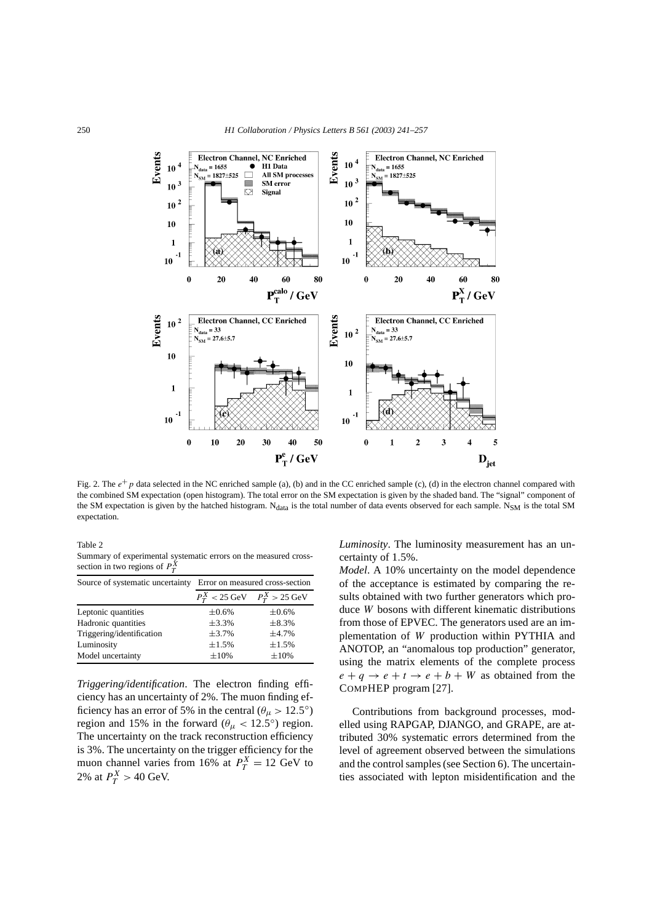

Fig. 2. The  $e^+p$  data selected in the NC enriched sample (a), (b) and in the CC enriched sample (c), (d) in the electron channel compared with the combined SM expectation (open histogram). The total error on the SM expectation is given by the shaded band. The "signal" component of the SM expectation is given by the hatched histogram. N<sub>data</sub> is the total number of data events observed for each sample. N<sub>SM</sub> is the total SM expectation.

Table 2

Summary of experimental systematic errors on the measured crosssection in two regions of  $P_T^{\hat{X}}$ 

| Source of systematic uncertainty | Error on measured cross-section   |             |  |
|----------------------------------|-----------------------------------|-------------|--|
|                                  | $P_T^X < 25$ GeV $P_T^X > 25$ GeV |             |  |
| Leptonic quantities              | $\pm 0.6\%$                       | $\pm 0.6\%$ |  |
| Hadronic quantities              | $\pm 3.3%$                        | $\pm 8.3%$  |  |
| Triggering/identification        | $\pm 3.7%$                        | ±4.7%       |  |
| Luminosity                       | $\pm 1.5%$                        | $\pm 1.5%$  |  |
| Model uncertainty                | $\pm 10\%$                        | $\pm 10\%$  |  |

*Triggering/identification*. The electron finding efficiency has an uncertainty of 2%. The muon finding efficiency has an error of 5% in the central ( $\theta_{\mu} > 12.5^{\circ}$ ) region and 15% in the forward ( $\theta_{\mu}$  < 12.5°) region. The uncertainty on the track reconstruction efficiency is 3%. The uncertainty on the trigger efficiency for the muon channel varies from 16% at  $P_T^X = 12$  GeV to 2% at  $P_T^X > 40$  GeV.

*Luminosity*. The luminosity measurement has an uncertainty of 1*.*5%.

*Model*. A 10% uncertainty on the model dependence of the acceptance is estimated by comparing the results obtained with two further generators which produce *W* bosons with different kinematic distributions from those of EPVEC. The generators used are an implementation of *W* production within PYTHIA and ANOTOP, an "anomalous top production" generator, using the matrix elements of the complete process  $e + q \rightarrow e + t \rightarrow e + b + W$  as obtained from the COMPHEP program [27].

Contributions from background processes, modelled using RAPGAP, DJANGO, and GRAPE, are attributed 30% systematic errors determined from the level of agreement observed between the simulations and the control samples (see Section 6). The uncertainties associated with lepton misidentification and the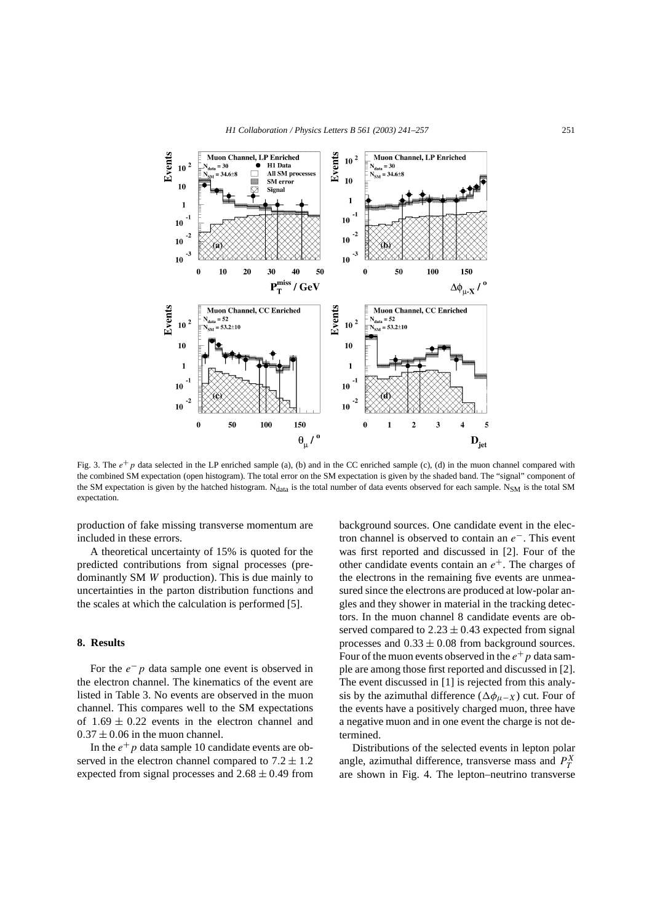

Fig. 3. The  $e^+p$  data selected in the LP enriched sample (a), (b) and in the CC enriched sample (c), (d) in the muon channel compared with the combined SM expectation (open histogram). The total error on the SM expectation is given by the shaded band. The "signal" component of the SM expectation is given by the hatched histogram. N<sub>data</sub> is the total number of data events observed for each sample. N<sub>SM</sub> is the total SM expectation.

production of fake missing transverse momentum are included in these errors.

A theoretical uncertainty of 15% is quoted for the predicted contributions from signal processes (predominantly SM *W* production). This is due mainly to uncertainties in the parton distribution functions and the scales at which the calculation is performed [5].

#### **8. Results**

For the *e*−*p* data sample one event is observed in the electron channel. The kinematics of the event are listed in Table 3. No events are observed in the muon channel. This compares well to the SM expectations of  $1.69 \pm 0.22$  events in the electron channel and  $0.37 \pm 0.06$  in the muon channel.

In the  $e^+p$  data sample 10 candidate events are observed in the electron channel compared to  $7.2 \pm 1.2$ expected from signal processes and  $2.68 \pm 0.49$  from background sources. One candidate event in the electron channel is observed to contain an *e*−. This event was first reported and discussed in [2]. Four of the other candidate events contain an  $e^+$ . The charges of the electrons in the remaining five events are unmeasured since the electrons are produced at low-polar angles and they shower in material in the tracking detectors. In the muon channel 8 candidate events are observed compared to  $2.23 \pm 0.43$  expected from signal processes and  $0.33 \pm 0.08$  from background sources. Four of the muon events observed in the  $e^+p$  data sample are among those first reported and discussed in [2]. The event discussed in [1] is rejected from this analysis by the azimuthal difference ( $\Delta \phi_{\mu-X}$ ) cut. Four of the events have a positively charged muon, three have a negative muon and in one event the charge is not determined.

Distributions of the selected events in lepton polar angle, azimuthal difference, transverse mass and  $P_T^X$ are shown in Fig. 4. The lepton–neutrino transverse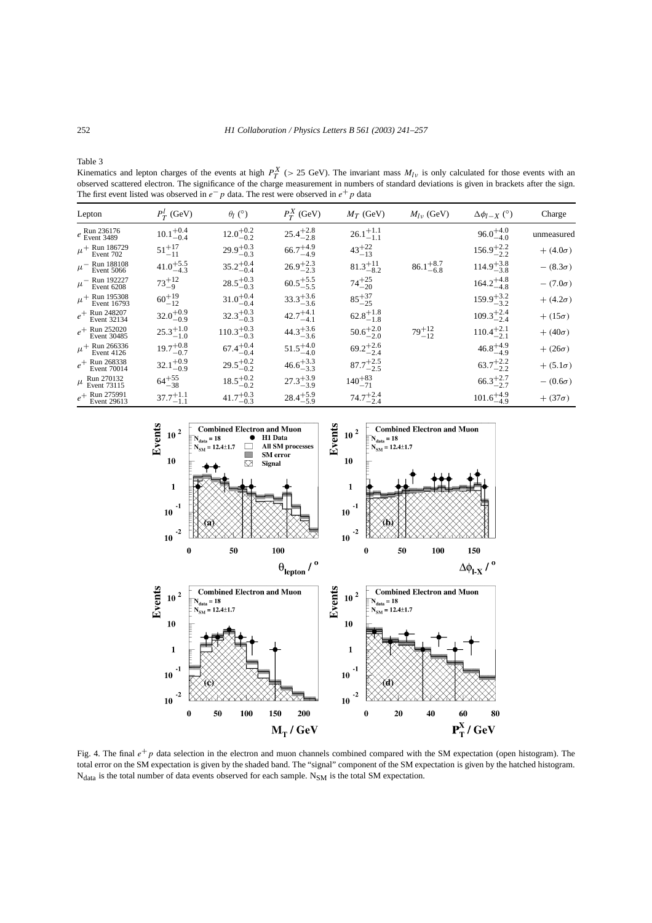Table 3

Kinematics and lepton charges of the events at high  $P_T^X$  (> 25 GeV). The invariant mass  $M_{l\nu}$  is only calculated for those events with an observed scattered electron. The significance of the charge measurement in num The first event listed was observed in  $e^-p$  data. The rest were observed in  $e^+p$  data

| Lepton                                       | $P_T^l$ (GeV)        | $\theta_l$ (°)        | $P_T^X$ (GeV)        | $M_T$ (GeV)          | $M_{1v}$ (GeV)       | $\Delta \phi_{l-X}$ (°) | Charge              |
|----------------------------------------------|----------------------|-----------------------|----------------------|----------------------|----------------------|-------------------------|---------------------|
| e Run 236176<br>Event 3489                   | $10.1^{+0.4}_{-0.4}$ | $12.0^{+0.2}_{-0.2}$  | $25.4^{+2.8}_{-2.8}$ | $26.1^{+1.1}_{-1.1}$ |                      | $96.0^{+4.0}_{-4.0}$    | unmeasured          |
| $\mu$ <sup>+</sup> Run 186729<br>Event 702   | $51^{+17}_{-11}$     | $29.9^{+0.3}_{-0.3}$  | $66.7^{+4.9}_{-4.9}$ | $43^{+22}_{-13}$     |                      | $156.9^{+2.2}_{-2.2}$   | $+$ (4.0 $\sigma$ ) |
| $\mu^-$ Run 188108<br>Event 5066             | $41.0^{+5.5}_{-4.3}$ | $35.2^{+0.4}_{-0.4}$  | $26.9^{+2.3}_{-2.3}$ | $81.3^{+11}_{-8.2}$  | $86.1^{+8.7}_{-6.8}$ | $114.9^{+3.8}_{-3.8}$   | $-$ (8.3 $\sigma$ ) |
| $\mu$ <sup>-</sup> Run 192227<br>Event 6208  | $73^{+12}_{-9}$      | $28.5^{+0.3}_{-0.3}$  | $60.5^{+5.5}_{-5.5}$ | $74^{+25}_{-20}$     |                      | $164.2^{+4.8}_{-4.8}$   | $-$ (7.0 $\sigma$ ) |
| $\mu$ <sup>+</sup> Run 195308<br>Event 16793 | $60^{+19}_{-12}$     | $31.0^{+0.4}_{-0.4}$  | $33.3^{+3.6}_{-3.6}$ | $85^{+37}_{-25}$     |                      | $159.9^{+3.2}_{-3.2}$   | $+$ (4.2 $\sigma$ ) |
| $e^+$ Run 248207<br>Event 32134              | $32.0^{+0.9}_{-0.9}$ | $32.3^{+0.3}_{-0.3}$  | $42.7^{+4.1}_{-4.1}$ | $62.8^{+1.8}_{-1.8}$ |                      | $109.3^{+2.4}_{-2.4}$   | $+$ (15 $\sigma$ )  |
| $e^+$ Run 252020<br>Event 30485              | $25.3^{+1.0}_{-1.0}$ | $110.3^{+0.3}_{-0.3}$ | $44.3^{+3.6}_{-3.6}$ | $50.6^{+2.0}_{-2.0}$ | $79^{+12}_{-12}$     | $110.4^{+2.1}_{-2.1}$   | $+$ (40 $\sigma$ )  |
| $\mu$ + Run 266336<br>Event 4126             | $19.7^{+0.8}_{-0.7}$ | $67.4^{+0.4}_{-0.4}$  | $51.5^{+4.0}_{-4.0}$ | $69.2^{+2.6}_{-2.4}$ |                      | $46.8^{+4.9}_{-4.9}$    | $+$ (26 $\sigma$ )  |
| $e^+$ Run 268338<br>Event 70014              | $32.1^{+0.9}_{-0.9}$ | $29.5^{+0.2}_{-0.2}$  | $46.6^{+3.3}_{-3.3}$ | $87.7^{+2.5}_{-2.5}$ |                      | $63.7^{+2.2}_{-2.2}$    | $+$ (5.1 $\sigma$ ) |
| $\mu$ Run 270132<br>Event 73115              | $64^{+55}_{-38}$     | $18.5^{+0.2}_{-0.2}$  | $27.3^{+3.9}_{-3.9}$ | $140^{+83}_{-71}$    |                      | $66.3^{+2.7}_{-2.7}$    | $-$ (0.6 $\sigma$ ) |
| $e^+$ Run 275991<br>Event 29613              | $37.7^{+1.1}_{-1.1}$ | $41.7^{+0.3}_{-0.3}$  | $28.4^{+5.9}_{-5.9}$ | $74.7^{+2.4}_{-2.4}$ |                      | $101.6^{+4.9}_{-4.9}$   | $+$ (37 $\sigma$ )  |



Fig. 4. The final  $e^+p$  data selection in the electron and muon channels combined compared with the SM expectation (open histogram). The total error on the SM expectation is given by the shaded band. The "signal" component of the SM expectation is given by the hatched histogram.  $N_{\text{data}}$  is the total number of data events observed for each sample.  $N_{\text{SM}}$  is the total SM expectation.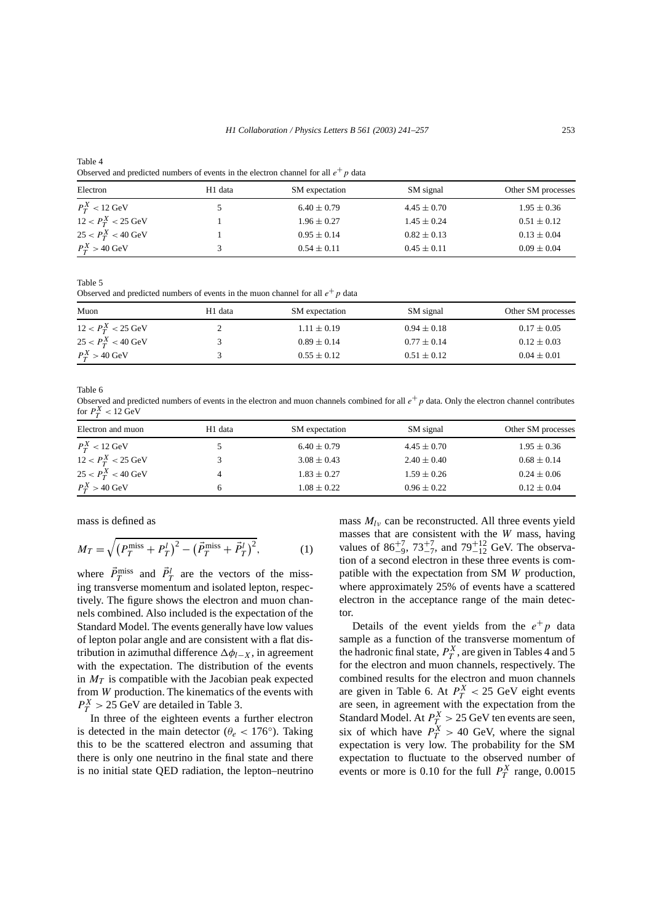| Table 4                                                                               |  |
|---------------------------------------------------------------------------------------|--|
| Observed and predicted numbers of events in the electron channel for all $e^+ p$ data |  |

| Electron                      | H1 data | SM expectation  | SM signal       | Other SM processes |
|-------------------------------|---------|-----------------|-----------------|--------------------|
| $P_T^X < 12 \text{ GeV}$      |         | $6.40 \pm 0.79$ | $4.45 \pm 0.70$ | $1.95 \pm 0.36$    |
| $12 < P_T^X < 25 \text{ GeV}$ |         | $1.96 \pm 0.27$ | $1.45 \pm 0.24$ | $0.51 \pm 0.12$    |
| $25 < P_T^X < 40 \text{ GeV}$ |         | $0.95 \pm 0.14$ | $0.82 \pm 0.13$ | $0.13 \pm 0.04$    |
| $P_T^X > 40 \text{ GeV}$      |         | $0.54 \pm 0.11$ | $0.45 \pm 0.11$ | $0.09 \pm 0.04$    |

Table 5

Observed and predicted numbers of events in the muon channel for all  $e^+p$  data

| Muon                          | H1 data | SM expectation  | SM signal       | Other SM processes |
|-------------------------------|---------|-----------------|-----------------|--------------------|
| $12 < P_T^X < 25 \text{ GeV}$ |         | $1.11 \pm 0.19$ | $0.94 \pm 0.18$ | $0.17 \pm 0.05$    |
| $25 < P_T^X < 40 \text{ GeV}$ |         | $0.89 \pm 0.14$ | $0.77 \pm 0.14$ | $0.12 \pm 0.03$    |
| $P_T^X > 40$ GeV              |         | $0.55 \pm 0.12$ | $0.51 \pm 0.12$ | $0.04 \pm 0.01$    |

Table 6

Observed and predicted numbers of events in the electron and muon channels combined for all  $e^+p$  data. Only the electron channel contributes for  $P_T^X < 12 \text{ GeV}$ 

| Electron and muon             | H1 data | SM expectation  | SM signal       | Other SM processes |
|-------------------------------|---------|-----------------|-----------------|--------------------|
| $P_T^X < 12 \text{ GeV}$      |         | $6.40 \pm 0.79$ | $4.45 \pm 0.70$ | $1.95 \pm 0.36$    |
| $12 < P_T^X < 25 \text{ GeV}$ |         | $3.08 \pm 0.43$ | $2.40 \pm 0.40$ | $0.68 \pm 0.14$    |
| $25 < P_T^X < 40 \text{ GeV}$ |         | $1.83 \pm 0.27$ | $1.59 \pm 0.26$ | $0.24 \pm 0.06$    |
| $P_T^X > 40$ GeV              |         | $1.08 \pm 0.22$ | $0.96 \pm 0.22$ | $0.12 \pm 0.04$    |

mass is defined as

$$
M_T = \sqrt{\left(P_T^{\text{miss}} + P_T^l\right)^2 - \left(\vec{P}_T^{\text{miss}} + \vec{P}_T^l\right)^2},\tag{1}
$$

where  $\vec{P}_T^{\text{miss}}$  and  $\vec{P}_T^l$  are the vectors of the missing transverse momentum and isolated lepton, respectively. The figure shows the electron and muon channels combined. Also included is the expectation of the Standard Model. The events generally have low values of lepton polar angle and are consistent with a flat distribution in azimuthal difference  $\Delta \phi_{l-X}$ , in agreement with the expectation. The distribution of the events in  $M<sub>T</sub>$  is compatible with the Jacobian peak expected from *W* production. The kinematics of the events with  $P_T^X > 25$  GeV are detailed in Table 3.

In three of the eighteen events a further electron is detected in the main detector ( $\theta_e$  < 176°). Taking this to be the scattered electron and assuming that there is only one neutrino in the final state and there is no initial state QED radiation, the lepton–neutrino mass  $M_{lv}$  can be reconstructed. All three events yield masses that are consistent with the *W* mass, having values of  $86^{+7}_{-9}$ ,  $73^{+7}_{-7}$ , and  $79^{+12}_{-12}$  GeV. The observation of a second electron in these three events is compatible with the expectation from SM *W* production, where approximately 25% of events have a scattered electron in the acceptance range of the main detector.

Details of the event yields from the  $e^+p$  data sample as a function of the transverse momentum of the hadronic final state,  $P_T^X$ , are given in Tables 4 and 5 for the electron and muon channels, respectively. The combined results for the electron and muon channels are given in Table 6. At  $P_T^X < 25$  GeV eight events are seen, in agreement with the expectation from the Standard Model. At  $P_{T}^{X} > 25$  GeV ten events are seen, six of which have  $P_T^X > 40$  GeV, where the signal expectation is very low. The probability for the SM expectation to fluctuate to the observed number of events or more is 0.10 for the full  $P_T^X$  range, 0.0015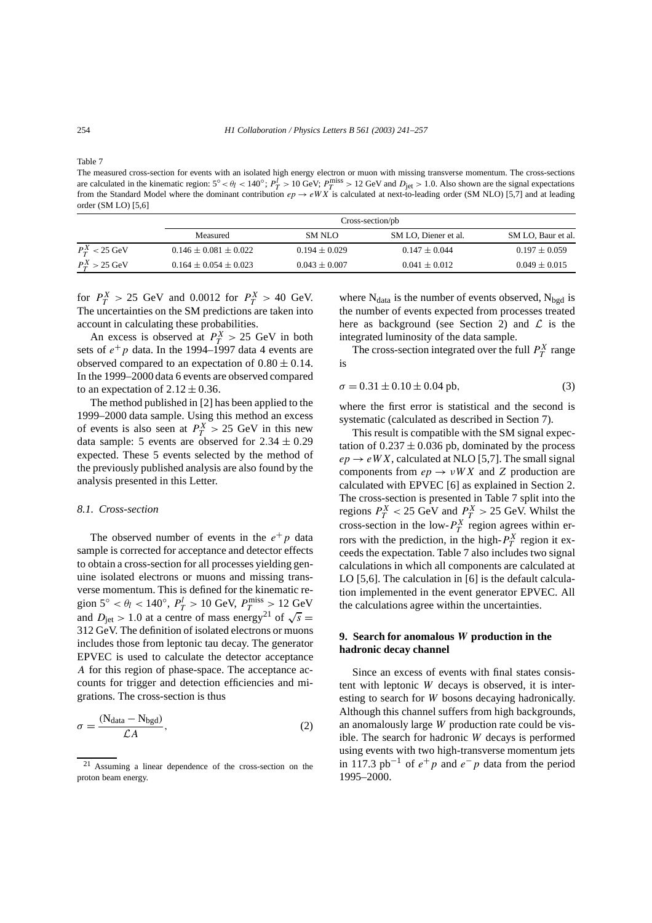Table 7

The measured cross-section for events with an isolated high energy electron or muon with missing transverse momentum. The cross-sections are calculated in the kinematic region:  $5^{\circ} < \theta_l < 140^{\circ}$ ;  $P_T^l > 10$  GeV;  $P_T^{\text{miss}} > 12$  GeV and  $D_{\text{jet}} > 1.0$ . Also shown are the signal expectations from the Standard Model where the dominant contribution  $ep \rightarrow eWX$  is calculated at next-to-leading order (SM NLO) [5,7] and at leading order (SM LO) [5,6]

|                  |                             | Cross-section/pb  |                      |                    |  |
|------------------|-----------------------------|-------------------|----------------------|--------------------|--|
|                  | Measured                    | SM NLO            | SM LO, Diener et al. | SM LO, Baur et al. |  |
| $P_T^X < 25$ GeV | $0.146 \pm 0.081 \pm 0.022$ | $0.194 \pm 0.029$ | $0.147 \pm 0.044$    | $0.197 \pm 0.059$  |  |
| $P_T^X > 25$ GeV | $0.164 \pm 0.054 \pm 0.023$ | $0.043 \pm 0.007$ | $0.041 \pm 0.012$    | $0.049 \pm 0.015$  |  |

for  $P_T^X > 25$  GeV and 0.0012 for  $P_T^X > 40$  GeV. The uncertainties on the SM predictions are taken into account in calculating these probabilities.

An excess is observed at  $P_T^X > 25$  GeV in both sets of  $e^+p$  data. In the 1994–1997 data 4 events are observed compared to an expectation of  $0.80 \pm 0.14$ . In the 1999–2000 data 6 events are observed compared to an expectation of  $2.12 \pm 0.36$ .

The method published in [2] has been applied to the 1999–2000 data sample. Using this method an excess of events is also seen at  $P_T^X > 25$  GeV in this new data sample: 5 events are observed for  $2.34 \pm 0.29$ expected. These 5 events selected by the method of the previously published analysis are also found by the analysis presented in this Letter.

#### *8.1. Cross-section*

The observed number of events in the  $e^+p$  data sample is corrected for acceptance and detector effects to obtain a cross-section for all processes yielding genuine isolated electrons or muons and missing transverse momentum. This is defined for the kinematic region  $5^{\circ} < \theta_l < 140^{\circ}$ ,  $P_T^l > 10$  GeV,  $P_T^{\text{miss}} > 12$  GeV and *D*<sub>iet</sub> > 1.0 at a centre of mass energy<sup>21</sup> of  $\sqrt{s}$  = 312 GeV. The definition of isolated electrons or muons includes those from leptonic tau decay. The generator EPVEC is used to calculate the detector acceptance *A* for this region of phase-space. The acceptance accounts for trigger and detection efficiencies and migrations. The cross-section is thus

$$
\sigma = \frac{(N_{\text{data}} - N_{\text{bgd}})}{\mathcal{L}A},\tag{2}
$$

where  $N_{data}$  is the number of events observed,  $N_{bgd}$  is the number of events expected from processes treated here as background (see Section 2) and  $\mathcal L$  is the integrated luminosity of the data sample.

The cross-section integrated over the full  $P_T^X$  range is

$$
\sigma = 0.31 \pm 0.10 \pm 0.04 \text{ pb},\tag{3}
$$

where the first error is statistical and the second is systematic (calculated as described in Section 7).

This result is compatible with the SM signal expectation of  $0.237 \pm 0.036$  pb, dominated by the process  $ep \rightarrow eWX$ , calculated at NLO [5,7]. The small signal components from  $ep \rightarrow vWX$  and *Z* production are calculated with EPVEC [6] as explained in Section 2. The cross-section is presented in Table 7 split into the regions  $P_T^X < 25$  GeV and  $P_T^X > 25$  GeV. Whilst the cross-section in the low- $P_T^X$  region agrees within errors with the prediction, in the high- $P_T^X$  region it exceeds the expectation. Table 7 also includes two signal calculations in which all components are calculated at LO [5,6]. The calculation in [6] is the default calculation implemented in the event generator EPVEC. All the calculations agree within the uncertainties.

#### **9. Search for anomalous** *W* **production in the hadronic decay channel**

Since an excess of events with final states consistent with leptonic *W* decays is observed, it is interesting to search for *W* bosons decaying hadronically. Although this channel suffers from high backgrounds, an anomalously large *W* production rate could be visible. The search for hadronic *W* decays is performed using events with two high-transverse momentum jets in 117.3 pb<sup>-1</sup> of  $e^+p$  and  $e^-p$  data from the period 1995–2000.

<sup>21</sup> Assuming a linear dependence of the cross-section on the proton beam energy.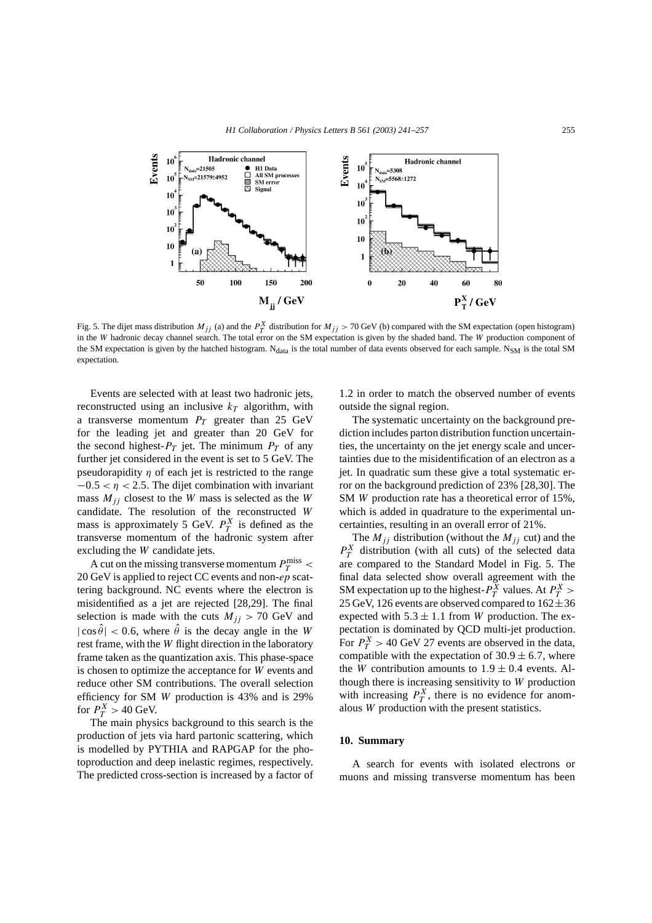

Fig. 5. The dijet mass distribution  $M_{jj}$  (a) and the  $P_T^X$  distribution for  $M_{jj} > 70$  GeV (b) compared with the SM expectation (open histogram) in the *W* hadronic decay channel search. The total error on the SM expectation is given by the shaded band. The *W* production component of the SM expectation is given by the hatched histogram. N<sub>data</sub> is the total number of data events observed for each sample. N<sub>SM</sub> is the total SM expectation.

Events are selected with at least two hadronic jets, reconstructed using an inclusive  $k_T$  algorithm, with a transverse momentum  $P_T$  greater than 25 GeV for the leading jet and greater than 20 GeV for the second highest- $P_T$  jet. The minimum  $P_T$  of any further jet considered in the event is set to 5 GeV. The pseudorapidity *η* of each jet is restricted to the range −0*.*5 *<η<* 2*.*5. The dijet combination with invariant mass *Mjj* closest to the *W* mass is selected as the *W* candidate. The resolution of the reconstructed *W* mass is approximately 5 GeV.  $P_T^X$  is defined as the transverse momentum of the hadronic system after excluding the *W* candidate jets.

A cut on the missing transverse momentum  $P_T^{\text{miss}}$  < 20 GeV is applied to reject CC events and non-*ep* scattering background. NC events where the electron is misidentified as a jet are rejected [28,29]. The final selection is made with the cuts  $M_{ij} > 70$  GeV and  $|\cos \theta|$  < 0.6, where  $\hat{\theta}$  is the decay angle in the *W* rest frame, with the *W* flight direction in the laboratory frame taken as the quantization axis. This phase-space is chosen to optimize the acceptance for *W* events and reduce other SM contributions. The overall selection efficiency for SM *W* production is 43% and is 29% for  $P_T^X > 40$  GeV.

The main physics background to this search is the production of jets via hard partonic scattering, which is modelled by PYTHIA and RAPGAP for the photoproduction and deep inelastic regimes, respectively. The predicted cross-section is increased by a factor of

1*.*2 in order to match the observed number of events outside the signal region.

The systematic uncertainty on the background prediction includes parton distribution function uncertainties, the uncertainty on the jet energy scale and uncertainties due to the misidentification of an electron as a jet. In quadratic sum these give a total systematic error on the background prediction of 23% [28,30]. The SM *W* production rate has a theoretical error of 15%, which is added in quadrature to the experimental uncertainties, resulting in an overall error of 21%.

The  $M_{jj}$  distribution (without the  $M_{jj}$  cut) and the  $P_T^X$  distribution (with all cuts) of the selected data are compared to the Standard Model in Fig. 5. The final data selected show overall agreement with the SM expectation up to the highest- $P_T^X$  values. At  $P_T^X$  > 25 GeV, 126 events are observed compared to  $162 \pm 36$ expected with  $5.3 \pm 1.1$  from *W* production. The expectation is dominated by QCD multi-jet production. For  $P_T^X > 40$  GeV 27 events are observed in the data, compatible with the expectation of  $30.9 \pm 6.7$ , where the *W* contribution amounts to  $1.9 \pm 0.4$  events. Although there is increasing sensitivity to *W* production with increasing  $P_T^X$ , there is no evidence for anomalous *W* production with the present statistics.

#### **10. Summary**

A search for events with isolated electrons or muons and missing transverse momentum has been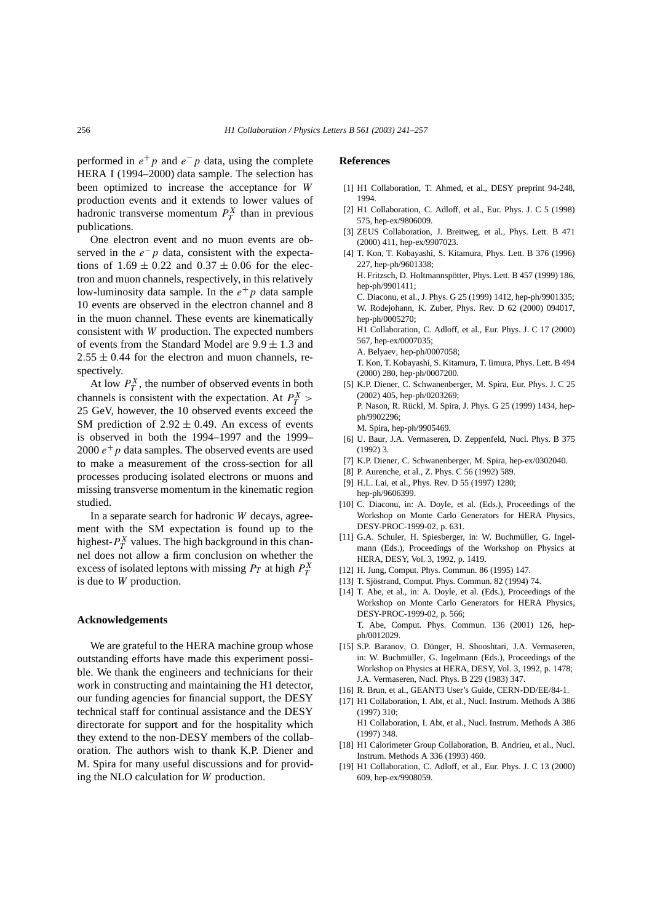performed in  $e^+p$  and  $e^-p$  data, using the complete HERA I (1994–2000) data sample. The selection has been optimized to increase the acceptance for *W* production events and it extends to lower values of hadronic transverse momentum  $P_T^X$  than in previous publications.

One electron event and no muon events are observed in the *e*−*p* data, consistent with the expectations of  $1.69 \pm 0.22$  and  $0.37 \pm 0.06$  for the electron and muon channels, respectively, in this relatively low-luminosity data sample. In the  $e^+p$  data sample 10 events are observed in the electron channel and 8 in the muon channel. These events are kinematically consistent with *W* production. The expected numbers of events from the Standard Model are  $9.9 \pm 1.3$  and  $2.55 \pm 0.44$  for the electron and muon channels, respectively.

At low  $P_T^X$ , the number of observed events in both channels is consistent with the expectation. At  $P_T^X$  > 25 GeV, however, the 10 observed events exceed the SM prediction of  $2.92 \pm 0.49$ . An excess of events is observed in both the 1994–1997 and the 1999– 2000  $e^+p$  data samples. The observed events are used to make a measurement of the cross-section for all processes producing isolated electrons or muons and missing transverse momentum in the kinematic region studied.

In a separate search for hadronic *W* decays, agreement with the SM expectation is found up to the highest- $P_T^X$  values. The high background in this channel does not allow a firm conclusion on whether the excess of isolated leptons with missing  $P_T$  at high  $P_T^X$ is due to *W* production.

#### **Acknowledgements**

We are grateful to the HERA machine group whose outstanding efforts have made this experiment possible. We thank the engineers and technicians for their work in constructing and maintaining the H1 detector, our funding agencies for financial support, the DESY technical staff for continual assistance and the DESY directorate for support and for the hospitality which they extend to the non-DESY members of the collaboration. The authors wish to thank K.P. Diener and M. Spira for many useful discussions and for providing the NLO calculation for *W* production.

#### **References**

- [1] H1 Collaboration, T. Ahmed, et al., DESY preprint 94-248, 1994.
- [2] H1 Collaboration, C. Adloff, et al., Eur. Phys. J. C 5 (1998) 575, hep-ex/9806009.
- [3] ZEUS Collaboration, J. Breitweg, et al., Phys. Lett. B 471 (2000) 411, hep-ex/9907023.
- [4] T. Kon, T. Kobayashi, S. Kitamura, Phys. Lett. B 376 (1996) 227, hep-ph/9601338; H. Fritzsch, D. Holtmannspötter, Phys. Lett. B 457 (1999) 186, hep-ph/9901411; C. Diaconu, et al., J. Phys. G 25 (1999) 1412, hep-ph/9901335; W. Rodejohann, K. Zuber, Phys. Rev. D 62 (2000) 094017, hep-ph/0005270; H1 Collaboration, C. Adloff, et al., Eur. Phys. J. C 17 (2000) 567, hep-ex/0007035; A. Belyaev, hep-ph/0007058; T. Kon, T. Kobayashi, S. Kitamura, T. Iimura, Phys. Lett. B 494 (2000) 280, hep-ph/0007200. [5] K.P. Diener, C. Schwanenberger, M. Spira, Eur. Phys. J. C 25
- (2002) 405, hep-ph/0203269; P. Nason, R. Rückl, M. Spira, J. Phys. G 25 (1999) 1434, hepph/9902296; M. Spira, hep-ph/9905469.
- [6] U. Baur, J.A. Vermaseren, D. Zeppenfeld, Nucl. Phys. B 375 (1992) 3.
- [7] K.P. Diener, C. Schwanenberger, M. Spira, hep-ex/0302040.
- [8] P. Aurenche, et al., Z. Phys. C 56 (1992) 589.
- [9] H.L. Lai, et al., Phys. Rev. D 55 (1997) 1280; hep-ph/9606399.
- [10] C. Diaconu, in: A. Doyle, et al. (Eds.), Proceedings of the Workshop on Monte Carlo Generators for HERA Physics, DESY-PROC-1999-02, p. 631.
- [11] G.A. Schuler, H. Spiesberger, in: W. Buchmüller, G. Ingelmann (Eds.), Proceedings of the Workshop on Physics at HERA, DESY, Vol. 3, 1992, p. 1419.
- [12] H. Jung, Comput. Phys. Commun. 86 (1995) 147.
- [13] T. Sjöstrand, Comput. Phys. Commun. 82 (1994) 74.
- [14] T. Abe, et al., in: A. Doyle, et al. (Eds.), Proceedings of the Workshop on Monte Carlo Generators for HERA Physics, DESY-PROC-1999-02, p. 566; T. Abe, Comput. Phys. Commun. 136 (2001) 126, hepph/0012029.
- [15] S.P. Baranov, O. Dünger, H. Shooshtari, J.A. Vermaseren, in: W. Buchmüller, G. Ingelmann (Eds.), Proceedings of the Workshop on Physics at HERA, DESY, Vol. 3, 1992, p. 1478; J.A. Vermaseren, Nucl. Phys. B 229 (1983) 347.
- [16] R. Brun, et al., GEANT3 User's Guide, CERN-DD/EE/84-1.
- [17] H1 Collaboration, I. Abt, et al., Nucl. Instrum. Methods A 386 (1997) 310;

H1 Collaboration, I. Abt, et al., Nucl. Instrum. Methods A 386 (1997) 348.

- [18] H1 Calorimeter Group Collaboration, B. Andrieu, et al., Nucl. Instrum. Methods A 336 (1993) 460.
- [19] H1 Collaboration, C. Adloff, et al., Eur. Phys. J. C 13 (2000) 609, hep-ex/9908059.